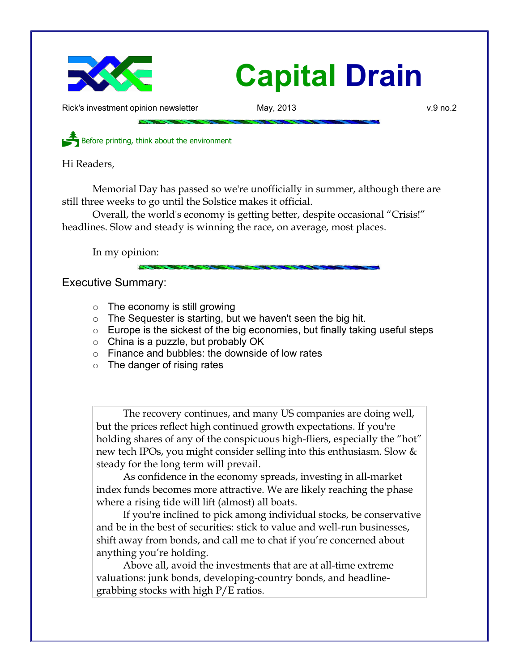

Rick's investment opinion newsletter **May, 2013** v.9 no.2

Before printing, think about the environment

Hi Readers,

Memorial Day has passed so we're unofficially in summer, although there are still three weeks to go until the Solstice makes it official.

Overall, the world's economy is getting better, despite occasional "Crisis!" headlines. Slow and steady is winning the race, on average, most places.

In my opinion:

Executive Summary:

- $\circ$  The economy is still growing
- $\circ$  The Sequester is starting, but we haven't seen the big hit.
- $\circ$  Europe is the sickest of the big economies, but finally taking useful steps
- $\circ$  China is a puzzle, but probably OK
- Finance and bubbles: the downside of low rates
- $\circ$  The danger of rising rates

The recovery continues, and many US companies are doing well, but the prices reflect high continued growth expectations. If you're holding shares of any of the conspicuous high-fliers, especially the "hot" new tech IPOs, you might consider selling into this enthusiasm. Slow & steady for the long term will prevail.

As confidence in the economy spreads, investing in all-market index funds becomes more attractive. We are likely reaching the phase where a rising tide will lift (almost) all boats.

If you're inclined to pick among individual stocks, be conservative and be in the best of securities: stick to value and well-run businesses, shift away from bonds, and call me to chat if you're concerned about anything you're holding.

Above all, avoid the investments that are at all-time extreme valuations: junk bonds, developing-country bonds, and headlinegrabbing stocks with high P/E ratios.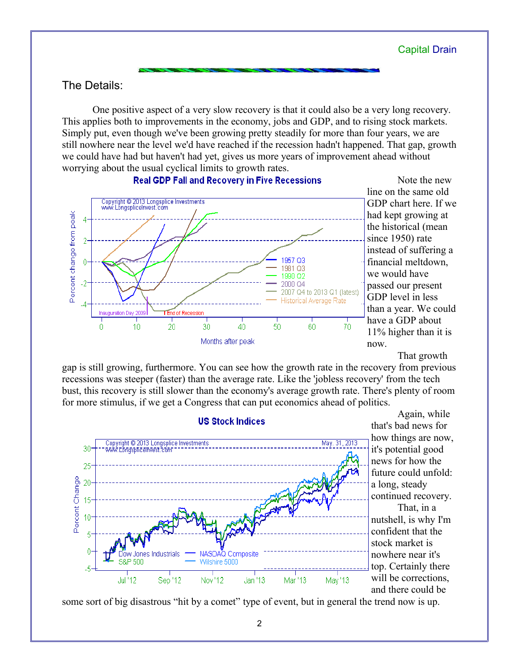# The Details:

One positive aspect of a very slow recovery is that it could also be a very long recovery. This applies both to improvements in the economy, jobs and GDP, and to rising stock markets. Simply put, even though we've been growing pretty steadily for more than four years, we are still nowhere near the level we'd have reached if the recession hadn't happened. That gap, growth we could have had but haven't had yet, gives us more years of improvement ahead without worrying about the usual cyclical limits to growth rates.



**Real GDP Fall and Recovery in Five Recessions** 

Note the new line on the same old GDP chart here. If we had kept growing at the historical (mean since 1950) rate instead of suffering a financial meltdown, we would have passed our present GDP level in less than a year. We could have a GDP about 11% higher than it is now.

That growth

gap is still growing, furthermore. You can see how the growth rate in the recovery from previous recessions was steeper (faster) than the average rate. Like the 'jobless recovery' from the tech bust, this recovery is still slower than the economy's average growth rate. There's plenty of room for more stimulus, if we get a Congress that can put economics ahead of politics.



Again, while that's bad news for how things are now, it's potential good news for how the future could unfold: a long, steady continued recovery. That, in a nutshell, is why I'm confident that the stock market is nowhere near it's top. Certainly there will be corrections, and there could be

some sort of big disastrous "hit by a comet" type of event, but in general the trend now is up.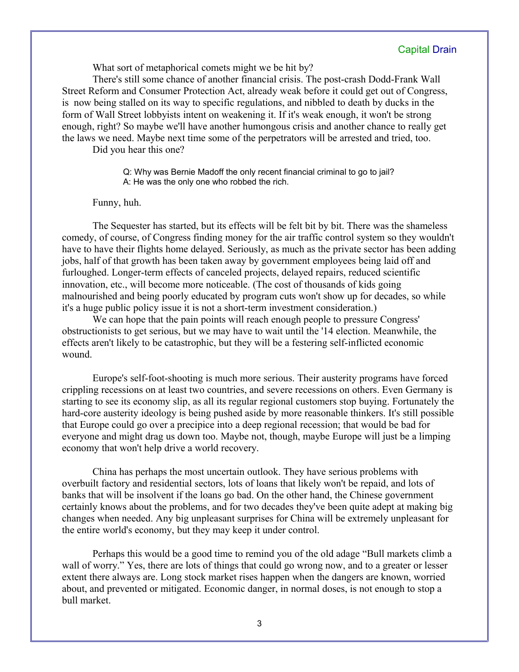What sort of metaphorical comets might we be hit by?

There's still some chance of another financial crisis. The post-crash Dodd-Frank Wall Street Reform and Consumer Protection Act, already weak before it could get out of Congress, is now being stalled on its way to specific regulations, and nibbled to death by ducks in the form of Wall Street lobbyists intent on weakening it. If it's weak enough, it won't be strong enough, right? So maybe we'll have another humongous crisis and another chance to really get the laws we need. Maybe next time some of the perpetrators will be arrested and tried, too.

Did you hear this one?

Q: Why was Bernie Madoff the only recent financial criminal to go to jail? A: He was the only one who robbed the rich.

#### Funny, huh.

The Sequester has started, but its effects will be felt bit by bit. There was the shameless comedy, of course, of Congress finding money for the air traffic control system so they wouldn't have to have their flights home delayed. Seriously, as much as the private sector has been adding jobs, half of that growth has been taken away by government employees being laid off and furloughed. Longer-term effects of canceled projects, delayed repairs, reduced scientific innovation, etc., will become more noticeable. (The cost of thousands of kids going malnourished and being poorly educated by program cuts won't show up for decades, so while it's a huge public policy issue it is not a short-term investment consideration.)

We can hope that the pain points will reach enough people to pressure Congress' obstructionists to get serious, but we may have to wait until the '14 election. Meanwhile, the effects aren't likely to be catastrophic, but they will be a festering self-inflicted economic wound.

Europe's self-foot-shooting is much more serious. Their austerity programs have forced crippling recessions on at least two countries, and severe recessions on others. Even Germany is starting to see its economy slip, as all its regular regional customers stop buying. Fortunately the hard-core austerity ideology is being pushed aside by more reasonable thinkers. It's still possible that Europe could go over a precipice into a deep regional recession; that would be bad for everyone and might drag us down too. Maybe not, though, maybe Europe will just be a limping economy that won't help drive a world recovery.

China has perhaps the most uncertain outlook. They have serious problems with overbuilt factory and residential sectors, lots of loans that likely won't be repaid, and lots of banks that will be insolvent if the loans go bad. On the other hand, the Chinese government certainly knows about the problems, and for two decades they've been quite adept at making big changes when needed. Any big unpleasant surprises for China will be extremely unpleasant for the entire world's economy, but they may keep it under control.

Perhaps this would be a good time to remind you of the old adage "Bull markets climb a wall of worry." Yes, there are lots of things that could go wrong now, and to a greater or lesser extent there always are. Long stock market rises happen when the dangers are known, worried about, and prevented or mitigated. Economic danger, in normal doses, is not enough to stop a bull market.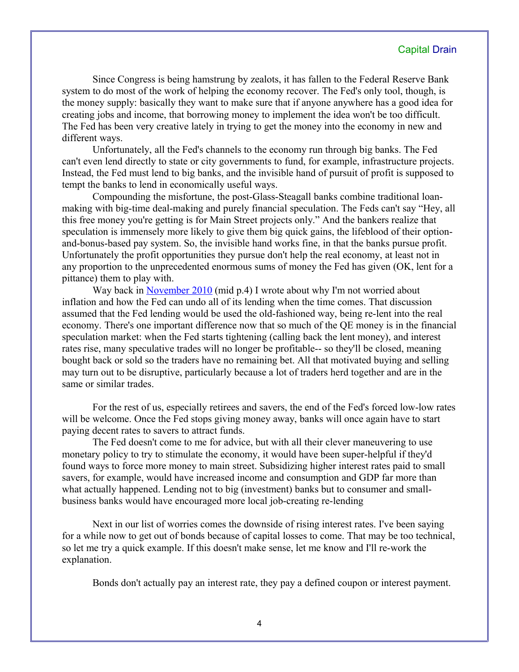Since Congress is being hamstrung by zealots, it has fallen to the Federal Reserve Bank system to do most of the work of helping the economy recover. The Fed's only tool, though, is the money supply: basically they want to make sure that if anyone anywhere has a good idea for creating jobs and income, that borrowing money to implement the idea won't be too difficult. The Fed has been very creative lately in trying to get the money into the economy in new and different ways.

Unfortunately, all the Fed's channels to the economy run through big banks. The Fed can't even lend directly to state or city governments to fund, for example, infrastructure projects. Instead, the Fed must lend to big banks, and the invisible hand of pursuit of profit is supposed to tempt the banks to lend in economically useful ways.

Compounding the misfortune, the post-Glass-Steagall banks combine traditional loanmaking with big-time deal-making and purely financial speculation. The Feds can't say "Hey, all this free money you're getting is for Main Street projects only." And the bankers realize that speculation is immensely more likely to give them big quick gains, the lifeblood of their optionand-bonus-based pay system. So, the invisible hand works fine, in that the banks pursue profit. Unfortunately the profit opportunities they pursue don't help the real economy, at least not in any proportion to the unprecedented enormous sums of money the Fed has given (OK, lent for a pittance) them to play with.

Way back in [November 2010](http://www.longspliceinvest.com/CapDrain/CapDrain_v6n4.pdf) (mid p.4) I wrote about why I'm not worried about inflation and how the Fed can undo all of its lending when the time comes. That discussion assumed that the Fed lending would be used the old-fashioned way, being re-lent into the real economy. There's one important difference now that so much of the QE money is in the financial speculation market: when the Fed starts tightening (calling back the lent money), and interest rates rise, many speculative trades will no longer be profitable-- so they'll be closed, meaning bought back or sold so the traders have no remaining bet. All that motivated buying and selling may turn out to be disruptive, particularly because a lot of traders herd together and are in the same or similar trades.

For the rest of us, especially retirees and savers, the end of the Fed's forced low-low rates will be welcome. Once the Fed stops giving money away, banks will once again have to start paying decent rates to savers to attract funds.

The Fed doesn't come to me for advice, but with all their clever maneuvering to use monetary policy to try to stimulate the economy, it would have been super-helpful if they'd found ways to force more money to main street. Subsidizing higher interest rates paid to small savers, for example, would have increased income and consumption and GDP far more than what actually happened. Lending not to big (investment) banks but to consumer and smallbusiness banks would have encouraged more local job-creating re-lending

Next in our list of worries comes the downside of rising interest rates. I've been saying for a while now to get out of bonds because of capital losses to come. That may be too technical, so let me try a quick example. If this doesn't make sense, let me know and I'll re-work the explanation.

Bonds don't actually pay an interest rate, they pay a defined coupon or interest payment.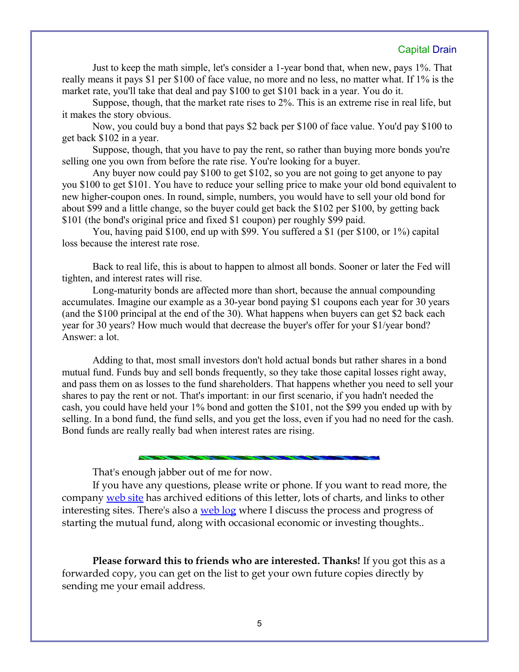Just to keep the math simple, let's consider a 1-year bond that, when new, pays 1%. That really means it pays \$1 per \$100 of face value, no more and no less, no matter what. If 1% is the market rate, you'll take that deal and pay \$100 to get \$101 back in a year. You do it.

Suppose, though, that the market rate rises to 2%. This is an extreme rise in real life, but it makes the story obvious.

Now, you could buy a bond that pays \$2 back per \$100 of face value. You'd pay \$100 to get back \$102 in a year.

Suppose, though, that you have to pay the rent, so rather than buying more bonds you're selling one you own from before the rate rise. You're looking for a buyer.

Any buyer now could pay \$100 to get \$102, so you are not going to get anyone to pay you \$100 to get \$101. You have to reduce your selling price to make your old bond equivalent to new higher-coupon ones. In round, simple, numbers, you would have to sell your old bond for about \$99 and a little change, so the buyer could get back the \$102 per \$100, by getting back \$101 (the bond's original price and fixed \$1 coupon) per roughly \$99 paid.

You, having paid \$100, end up with \$99. You suffered a \$1 (per \$100, or 1%) capital loss because the interest rate rose.

Back to real life, this is about to happen to almost all bonds. Sooner or later the Fed will tighten, and interest rates will rise.

Long-maturity bonds are affected more than short, because the annual compounding accumulates. Imagine our example as a 30-year bond paying \$1 coupons each year for 30 years (and the \$100 principal at the end of the 30). What happens when buyers can get \$2 back each year for 30 years? How much would that decrease the buyer's offer for your \$1/year bond? Answer: a lot.

Adding to that, most small investors don't hold actual bonds but rather shares in a bond mutual fund. Funds buy and sell bonds frequently, so they take those capital losses right away, and pass them on as losses to the fund shareholders. That happens whether you need to sell your shares to pay the rent or not. That's important: in our first scenario, if you hadn't needed the cash, you could have held your 1% bond and gotten the \$101, not the \$99 you ended up with by selling. In a bond fund, the fund sells, and you get the loss, even if you had no need for the cash. Bond funds are really really bad when interest rates are rising.

That's enough jabber out of me for now.

If you have any questions, please write or phone. If you want to read more, the company [web site](http://www.LongspliceInvest.com/newsletter.shtml) has archived editions of this letter, lots of charts, and links to other interesting sites. There's also a [web log](http://www.LongspliceInvestments.com/ricksblog) where I discuss the process and progress of starting the mutual fund, along with occasional economic or investing thoughts..

**Please forward this to friends who are interested. Thanks!** If you got this as a forwarded copy, you can get on the list to get your own future copies directly by sending me your email address.